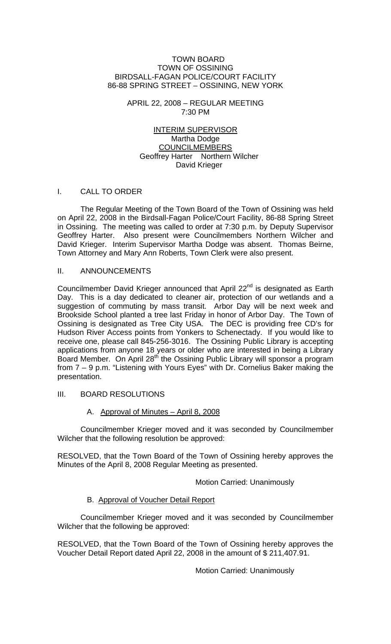### TOWN BOARD TOWN OF OSSINING BIRDSALL-FAGAN POLICE/COURT FACILITY 86-88 SPRING STREET – OSSINING, NEW YORK

## APRIL 22, 2008 – REGULAR MEETING 7:30 PM

# INTERIM SUPERVISOR Martha Dodge COUNCILMEMBERS Geoffrey Harter Northern Wilcher David Krieger

## I. CALL TO ORDER

 The Regular Meeting of the Town Board of the Town of Ossining was held on April 22, 2008 in the Birdsall-Fagan Police/Court Facility, 86-88 Spring Street in Ossining. The meeting was called to order at 7:30 p.m. by Deputy Supervisor Geoffrey Harter. Also present were Councilmembers Northern Wilcher and David Krieger. Interim Supervisor Martha Dodge was absent. Thomas Beirne, Town Attorney and Mary Ann Roberts, Town Clerk were also present.

## II. ANNOUNCEMENTS

Councilmember David Krieger announced that April  $22<sup>nd</sup>$  is designated as Earth Day. This is a day dedicated to cleaner air, protection of our wetlands and a suggestion of commuting by mass transit. Arbor Day will be next week and Brookside School planted a tree last Friday in honor of Arbor Day. The Town of Ossining is designated as Tree City USA. The DEC is providing free CD's for Hudson River Access points from Yonkers to Schenectady. If you would like to receive one, please call 845-256-3016. The Ossining Public Library is accepting applications from anyone 18 years or older who are interested in being a Library Board Member. On April 28<sup>th</sup> the Ossining Public Library will sponsor a program from 7 – 9 p.m. "Listening with Yours Eyes" with Dr. Cornelius Baker making the presentation.

# III. BOARD RESOLUTIONS

# A. Approval of Minutes – April 8, 2008

 Councilmember Krieger moved and it was seconded by Councilmember Wilcher that the following resolution be approved:

RESOLVED, that the Town Board of the Town of Ossining hereby approves the Minutes of the April 8, 2008 Regular Meeting as presented.

Motion Carried: Unanimously

# B. Approval of Voucher Detail Report

 Councilmember Krieger moved and it was seconded by Councilmember Wilcher that the following be approved:

RESOLVED, that the Town Board of the Town of Ossining hereby approves the Voucher Detail Report dated April 22, 2008 in the amount of \$ 211,407.91.

Motion Carried: Unanimously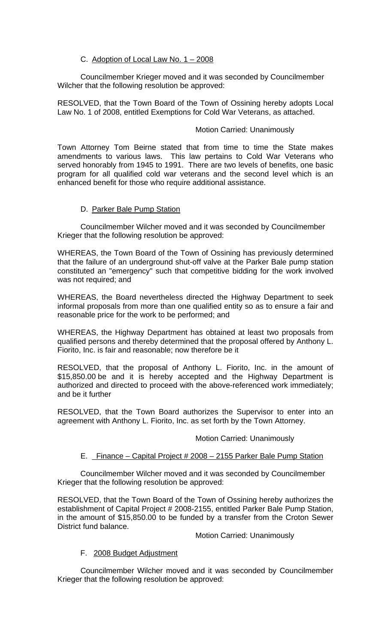# C. Adoption of Local Law No. 1 – 2008

Councilmember Krieger moved and it was seconded by Councilmember Wilcher that the following resolution be approved:

RESOLVED, that the Town Board of the Town of Ossining hereby adopts Local Law No. 1 of 2008, entitled Exemptions for Cold War Veterans, as attached.

# Motion Carried: Unanimously

Town Attorney Tom Beirne stated that from time to time the State makes amendments to various laws. This law pertains to Cold War Veterans who served honorably from 1945 to 1991. There are two levels of benefits, one basic program for all qualified cold war veterans and the second level which is an enhanced benefit for those who require additional assistance.

## D. Parker Bale Pump Station

Councilmember Wilcher moved and it was seconded by Councilmember Krieger that the following resolution be approved:

WHEREAS, the Town Board of the Town of Ossining has previously determined that the failure of an underground shut-off valve at the Parker Bale pump station constituted an "emergency" such that competitive bidding for the work involved was not required; and

WHEREAS, the Board nevertheless directed the Highway Department to seek informal proposals from more than one qualified entity so as to ensure a fair and reasonable price for the work to be performed; and

WHEREAS, the Highway Department has obtained at least two proposals from qualified persons and thereby determined that the proposal offered by Anthony L. Fiorito, Inc. is fair and reasonable; now therefore be it

RESOLVED, that the proposal of Anthony L. Fiorito, Inc. in the amount of \$15,850.00 be and it is hereby accepted and the Highway Department is authorized and directed to proceed with the above-referenced work immediately; and be it further

RESOLVED, that the Town Board authorizes the Supervisor to enter into an agreement with Anthony L. Fiorito, Inc. as set forth by the Town Attorney.

## Motion Carried: Unanimously

# E. Finance – Capital Project # 2008 – 2155 Parker Bale Pump Station

Councilmember Wilcher moved and it was seconded by Councilmember Krieger that the following resolution be approved:

RESOLVED, that the Town Board of the Town of Ossining hereby authorizes the establishment of Capital Project # 2008-2155, entitled Parker Bale Pump Station, in the amount of \$15,850.00 to be funded by a transfer from the Croton Sewer District fund balance.

Motion Carried: Unanimously

# F. 2008 Budget Adjustment

 Councilmember Wilcher moved and it was seconded by Councilmember Krieger that the following resolution be approved: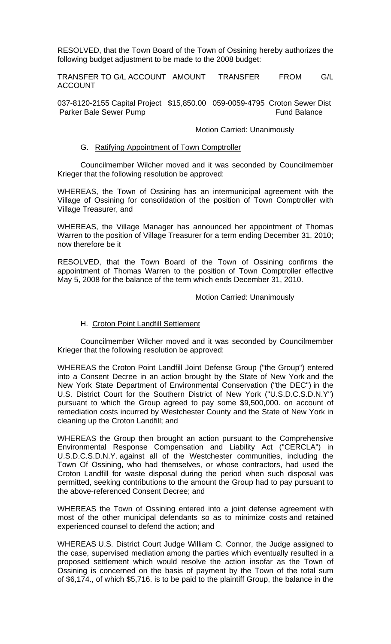RESOLVED, that the Town Board of the Town of Ossining hereby authorizes the following budget adjustment to be made to the 2008 budget:

TRANSFER TO G/L ACCOUNT AMOUNT TRANSFER FROM G/L ACCOUNT

037-8120-2155 Capital Project \$15,850.00 059-0059-4795 Croton Sewer Dist Parker Bale Sewer Pump Fund Balance

#### Motion Carried: Unanimously

#### G. Ratifying Appointment of Town Comptroller

 Councilmember Wilcher moved and it was seconded by Councilmember Krieger that the following resolution be approved:

WHEREAS, the Town of Ossining has an intermunicipal agreement with the Village of Ossining for consolidation of the position of Town Comptroller with Village Treasurer, and

WHEREAS, the Village Manager has announced her appointment of Thomas Warren to the position of Village Treasurer for a term ending December 31, 2010; now therefore be it

RESOLVED, that the Town Board of the Town of Ossining confirms the appointment of Thomas Warren to the position of Town Comptroller effective May 5, 2008 for the balance of the term which ends December 31, 2010.

Motion Carried: Unanimously

#### H. Croton Point Landfill Settlement

 Councilmember Wilcher moved and it was seconded by Councilmember Krieger that the following resolution be approved:

WHEREAS the Croton Point Landfill Joint Defense Group ("the Group") entered into a Consent Decree in an action brought by the State of New York and the New York State Department of Environmental Conservation ("the DEC") in the U.S. District Court for the Southern District of New York ("U.S.D.C.S.D.N.Y") pursuant to which the Group agreed to pay some \$9,500,000. on account of remediation costs incurred by Westchester County and the State of New York in cleaning up the Croton Landfill; and

WHEREAS the Group then brought an action pursuant to the Comprehensive Environmental Response Compensation and Liability Act ("CERCLA") in U.S.D.C.S.D.N.Y. against all of the Westchester communities, including the Town Of Ossining, who had themselves, or whose contractors, had used the Croton Landfill for waste disposal during the period when such disposal was permitted, seeking contributions to the amount the Group had to pay pursuant to the above-referenced Consent Decree; and

WHEREAS the Town of Ossining entered into a joint defense agreement with most of the other municipal defendants so as to minimize costs and retained experienced counsel to defend the action; and

WHEREAS U.S. District Court Judge William C. Connor, the Judge assigned to the case, supervised mediation among the parties which eventually resulted in a proposed settlement which would resolve the action insofar as the Town of Ossining is concerned on the basis of payment by the Town of the total sum of \$6,174., of which \$5,716. is to be paid to the plaintiff Group, the balance in the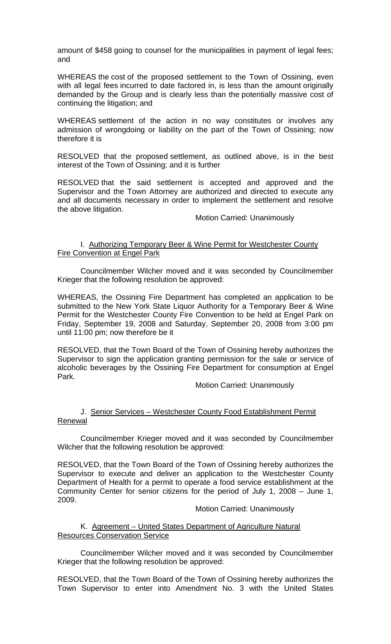amount of \$458 going to counsel for the municipalities in payment of legal fees; and

WHEREAS the cost of the proposed settlement to the Town of Ossining, even with all legal fees incurred to date factored in, is less than the amount originally demanded by the Group and is clearly less than the potentially massive cost of continuing the litigation; and

WHEREAS settlement of the action in no way constitutes or involves any admission of wrongdoing or liability on the part of the Town of Ossining; now therefore it is

RESOLVED that the proposed settlement, as outlined above, is in the best interest of the Town of Ossining; and it is further

RESOLVED that the said settlement is accepted and approved and the Supervisor and the Town Attorney are authorized and directed to execute any and all documents necessary in order to implement the settlement and resolve the above litigation.

#### Motion Carried: Unanimously

## I. Authorizing Temporary Beer & Wine Permit for Westchester County Fire Convention at Engel Park

 Councilmember Wilcher moved and it was seconded by Councilmember Krieger that the following resolution be approved:

WHEREAS, the Ossining Fire Department has completed an application to be submitted to the New York State Liquor Authority for a Temporary Beer & Wine Permit for the Westchester County Fire Convention to be held at Engel Park on Friday, September 19, 2008 and Saturday, September 20, 2008 from 3:00 pm until 11:00 pm; now therefore be it

RESOLVED, that the Town Board of the Town of Ossining hereby authorizes the Supervisor to sign the application granting permission for the sale or service of alcoholic beverages by the Ossining Fire Department for consumption at Engel Park.

## Motion Carried: Unanimously

# J. Senior Services – Westchester County Food Establishment Permit **Renewal**

 Councilmember Krieger moved and it was seconded by Councilmember Wilcher that the following resolution be approved:

RESOLVED, that the Town Board of the Town of Ossining hereby authorizes the Supervisor to execute and deliver an application to the Westchester County Department of Health for a permit to operate a food service establishment at the Community Center for senior citizens for the period of July 1, 2008 – June 1, 2009.

## Motion Carried: Unanimously

## K. Agreement – United States Department of Agriculture Natural Resources Conservation Service

 Councilmember Wilcher moved and it was seconded by Councilmember Krieger that the following resolution be approved:

RESOLVED, that the Town Board of the Town of Ossining hereby authorizes the Town Supervisor to enter into Amendment No. 3 with the United States